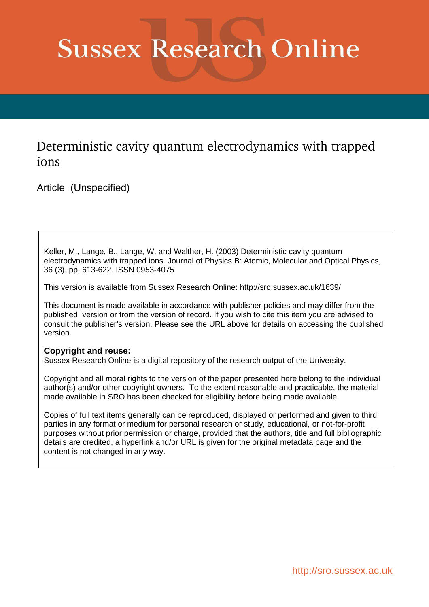# **Sussex Research Online**

## Deterministic cavity quantum electrodynamics with trapped ions

Article (Unspecified)

Keller, M., Lange, B., Lange, W. and Walther, H. (2003) Deterministic cavity quantum electrodynamics with trapped ions. Journal of Physics B: Atomic, Molecular and Optical Physics, 36 (3). pp. 613-622. ISSN 0953-4075

This version is available from Sussex Research Online: http://sro.sussex.ac.uk/1639/

This document is made available in accordance with publisher policies and may differ from the published version or from the version of record. If you wish to cite this item you are advised to consult the publisher's version. Please see the URL above for details on accessing the published version.

### **Copyright and reuse:**

Sussex Research Online is a digital repository of the research output of the University.

Copyright and all moral rights to the version of the paper presented here belong to the individual author(s) and/or other copyright owners. To the extent reasonable and practicable, the material made available in SRO has been checked for eligibility before being made available.

Copies of full text items generally can be reproduced, displayed or performed and given to third parties in any format or medium for personal research or study, educational, or not-for-profit purposes without prior permission or charge, provided that the authors, title and full bibliographic details are credited, a hyperlink and/or URL is given for the original metadata page and the content is not changed in any way.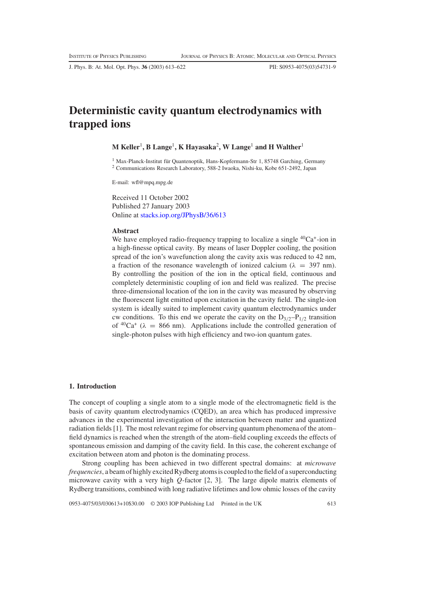J. Phys. B: At. Mol. Opt. Phys. **36** (2003) 613–622 PII: S0953-4075(03)54731-9

## **Deterministic cavity quantum electrodynamics with trapped ions**

 $\mathbf{M}$  Keller<sup>1</sup>, **B** Lange<sup>1</sup>, **K** Hayasaka<sup>2</sup>,  $\mathbf{W}$  Lange<sup>1</sup> and H Walther<sup>1</sup>

 $1$  Max-Planck-Institut für Quantenoptik, Hans-Kopfermann-Str 1, 85748 Garching, Germany <sup>2</sup> Communications Research Laboratory, 588-2 Iwaoka, Nishi-ku, Kobe 651-2492, Japan

E-mail: wfl@mpq.mpg.de

Received 11 October 2002 Published 27 January 2003 Online at [stacks.iop.org/JPhysB/36/613](http://stacks.iop.org/JPhysB/36/613)

#### **Abstract**

We have employed radio-frequency trapping to localize a single  ${}^{40}Ca^+$ -ion in a high-finesse optical cavity. By means of laser Doppler cooling, the position spread of the ion's wavefunction along the cavity axis was reduced to 42 nm, a fraction of the resonance wavelength of ionized calcium ( $\lambda = 397$  nm). By controlling the position of the ion in the optical field, continuous and completely deterministic coupling of ion and field was realized. The precise three-dimensional location of the ion in the cavity was measured by observing the fluorescent light emitted upon excitation in the cavity field. The single-ion system is ideally suited to implement cavity quantum electrodynamics under cw conditions. To this end we operate the cavity on the  $D_{3/2}-P_{1/2}$  transition of <sup>40</sup>Ca<sup>+</sup> ( $\lambda$  = 866 nm). Applications include the controlled generation of single-photon pulses with high efficiency and two-ion quantum gates.

#### **1. Introduction**

The concept of coupling a single atom to a single mode of the electromagnetic field is the basis of cavity quantum electrodynamics (CQED), an area which has produced impressive advances in the experimental investigation of the interaction between matter and quantized radiation fields [1]. The most relevant regime for observing quantum phenomena of the atom– field dynamics is reached when the strength of the atom–field coupling exceeds the effects of spontaneous emission and damping of the cavity field. In this case, the coherent exchange of excitation between atom and photon is the dominating process.

Strong coupling has been achieved in two different spectral domains: at *microwave frequencies*, a beam of highly excited Rydberg atoms is coupled to the field of a superconducting microwave cavity with a very high *Q*-factor [2, 3]. The large dipole matrix elements of Rydberg transitions, combined with long radiative lifetimes and low ohmic losses of the cavity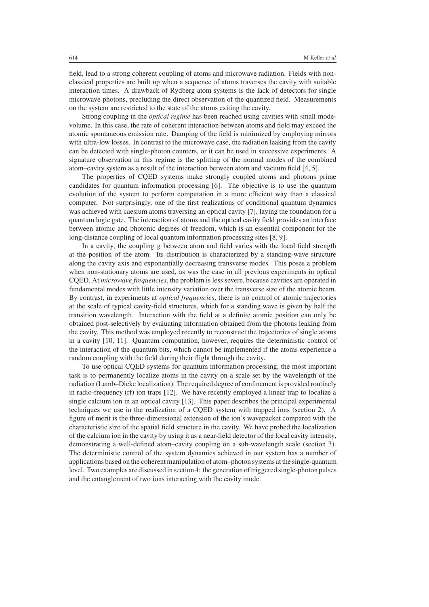field, lead to a strong coherent coupling of atoms and microwave radiation. Fields with nonclassical properties are built up when a sequence of atoms traverses the cavity with suitable interaction times. A drawback of Rydberg atom systems is the lack of detectors for single microwave photons, precluding the direct observation of the quantized field. Measurements on the system are restricted to the state of the atoms exiting the cavity.

Strong coupling in the *optical regime* has been reached using cavities with small modevolume. In this case, the rate of coherent interaction between atoms and field may exceed the atomic spontaneous emission rate. Damping of the field is minimized by employing mirrors with ultra-low losses. In contrast to the microwave case, the radiation leaking from the cavity can be detected with single-photon counters, or it can be used in successive experiments. A signature observation in this regime is the splitting of the normal modes of the combined atom–cavity system as a result of the interaction between atom and vacuum field [4, 5].

The properties of CQED systems make strongly coupled atoms and photons prime candidates for quantum information processing [6]. The objective is to use the quantum evolution of the system to perform computation in a more efficient way than a classical computer. Not surprisingly, one of the first realizations of conditional quantum dynamics was achieved with caesium atoms traversing an optical cavity [7], laying the foundation for a quantum logic gate. The interaction of atoms and the optical cavity field provides an interface between atomic and photonic degrees of freedom, which is an essential component for the long-distance coupling of local quantum information processing sites [8, 9].

In a cavity, the coupling *g* between atom and field varies with the local field strength at the position of the atom. Its distribution is characterized by a standing-wave structure along the cavity axis and exponentially decreasing transverse modes. This poses a problem when non-stationary atoms are used, as was the case in all previous experiments in optical CQED. At *microwave frequencies*, the problem is less severe, because cavities are operated in fundamental modes with little intensity variation over the transverse size of the atomic beam. By contrast, in experiments at *optical frequencies*, there is no control of atomic trajectories at the scale of typical cavity-field structures, which for a standing wave is given by half the transition wavelength. Interaction with the field at a definite atomic position can only be obtained post-selectively by evaluating information obtained from the photons leaking from the cavity. This method was employed recently to reconstruct the trajectories of single atoms in a cavity [10, 11]. Quantum computation, however, requires the deterministic control of the interaction of the quantum bits, which cannot be implemented if the atoms experience a random coupling with the field during their flight through the cavity.

To use optical CQED systems for quantum information processing, the most important task is to permanently localize atoms in the cavity on a scale set by the wavelength of the radiation (Lamb–Dicke localization). The required degree of confinement is provided routinely in radio-frequency (rf) ion traps [12]. We have recently employed a linear trap to localize a single calcium ion in an optical cavity [13]. This paper describes the principal experimental techniques we use in the realization of a CQED system with trapped ions (section 2). A figure of merit is the three-dimensional extension of the ion's wavepacket compared with the characteristic size of the spatial field structure in the cavity. We have probed the localization of the calcium ion in the cavity by using it as a near-field detector of the local cavity intensity, demonstrating a well-defined atom–cavity coupling on a sub-wavelength scale (section 3). The deterministic control of the system dynamics achieved in our system has a number of applications based on the coherent manipulation of atom–photon systems at the single-quantum level. Two examples are discussed in section 4: the generation of triggered single-photon pulses and the entanglement of two ions interacting with the cavity mode.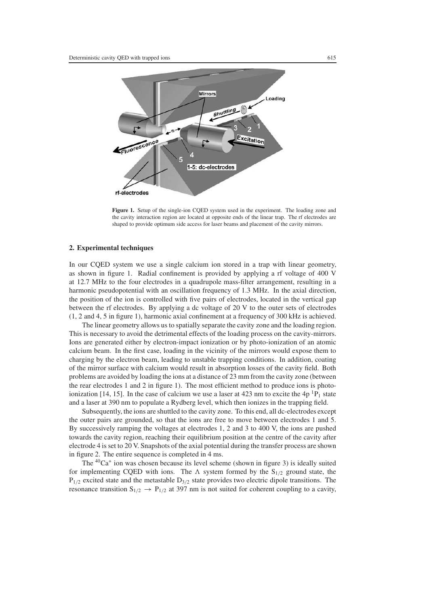

**Figure 1.** Setup of the single-ion CQED system used in the experiment. The loading zone and the cavity interaction region are located at opposite ends of the linear trap. The rf electrodes are shaped to provide optimum side access for laser beams and placement of the cavity mirrors.

#### **2. Experimental techniques**

In our CQED system we use a single calcium ion stored in a trap with linear geometry, as shown in figure 1. Radial confinement is provided by applying a rf voltage of 400 V at 12.7 MHz to the four electrodes in a quadrupole mass-filter arrangement, resulting in a harmonic pseudopotential with an oscillation frequency of 1.3 MHz. In the axial direction, the position of the ion is controlled with five pairs of electrodes, located in the vertical gap between the rf electrodes. By applying a dc voltage of 20 V to the outer sets of electrodes (1, 2 and 4, 5 in figure 1), harmonic axial confinement at a frequency of 300 kHz is achieved.

The linear geometry allows us to spatially separate the cavity zone and the loading region. This is necessary to avoid the detrimental effects of the loading process on the cavity-mirrors. Ions are generated either by electron-impact ionization or by photo-ionization of an atomic calcium beam. In the first case, loading in the vicinity of the mirrors would expose them to charging by the electron beam, leading to unstable trapping conditions. In addition, coating of the mirror surface with calcium would result in absorption losses of the cavity field. Both problems are avoided by loading the ions at a distance of 23 mm from the cavity zone (between the rear electrodes 1 and 2 in figure 1). The most efficient method to produce ions is photoionization [14, 15]. In the case of calcium we use a laser at 423 nm to excite the 4p  ${}^{1}P_1$  state and a laser at 390 nm to populate a Rydberg level, which then ionizes in the trapping field.

Subsequently, the ions are shuttled to the cavity zone. To this end, all dc-electrodes except the outer pairs are grounded, so that the ions are free to move between electrodes 1 and 5. By successively ramping the voltages at electrodes 1, 2 and 3 to 400 V, the ions are pushed towards the cavity region, reaching their equilibrium position at the centre of the cavity after electrode 4 is set to 20 V. Snapshots of the axial potential during the transfer process are shown in figure 2. The entire sequence is completed in 4 ms.

The  ${}^{40}Ca^+$  ion was chosen because its level scheme (shown in figure 3) is ideally suited for implementing CQED with ions. The  $\Lambda$  system formed by the S<sub>1/2</sub> ground state, the  $P_{1/2}$  excited state and the metastable  $D_{3/2}$  state provides two electric dipole transitions. The resonance transition  $S_{1/2} \rightarrow P_{1/2}$  at 397 nm is not suited for coherent coupling to a cavity,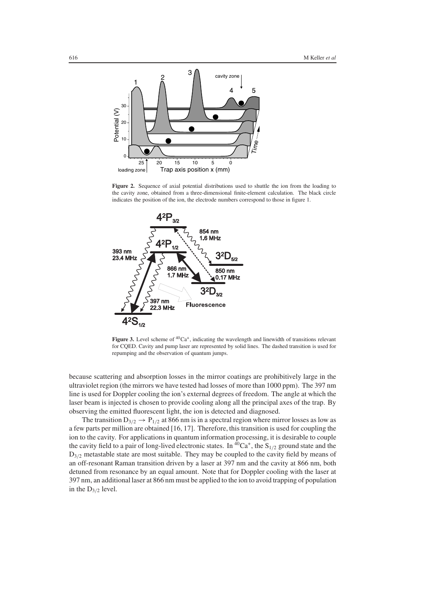

Figure 2. Sequence of axial potential distributions used to shuttle the ion from the loading to the cavity zone, obtained from a three-dimensional finite-element calculation. The black circle indicates the position of the ion, the electrode numbers correspond to those in figure 1.



**Figure 3.** Level scheme of  ${}^{40}Ca<sup>+</sup>$ , indicating the wavelength and linewidth of transitions relevant for CQED. Cavity and pump laser are represented by solid lines. The dashed transition is used for repumping and the observation of quantum jumps.

because scattering and absorption losses in the mirror coatings are prohibitively large in the ultraviolet region (the mirrors we have tested had losses of more than 1000 ppm). The 397 nm line is used for Doppler cooling the ion's external degrees of freedom. The angle at which the laser beam is injected is chosen to provide cooling along all the principal axes of the trap. By observing the emitted fluorescent light, the ion is detected and diagnosed.

The transition  $D_{3/2} \rightarrow P_{1/2}$  at 866 nm is in a spectral region where mirror losses as low as a few parts per million are obtained [16, 17]. Therefore, this transition is used for coupling the ion to the cavity. For applications in quantum information processing, it is desirable to couple the cavity field to a pair of long-lived electronic states. In <sup>40</sup>Ca<sup>+</sup>, the S<sub>1/2</sub> ground state and the  $D_{3/2}$  metastable state are most suitable. They may be coupled to the cavity field by means of an off-resonant Raman transition driven by a laser at 397 nm and the cavity at 866 nm, both detuned from resonance by an equal amount. Note that for Doppler cooling with the laser at 397 nm, an additional laser at 866 nm must be applied to the ion to avoid trapping of population in the  $D_{3/2}$  level.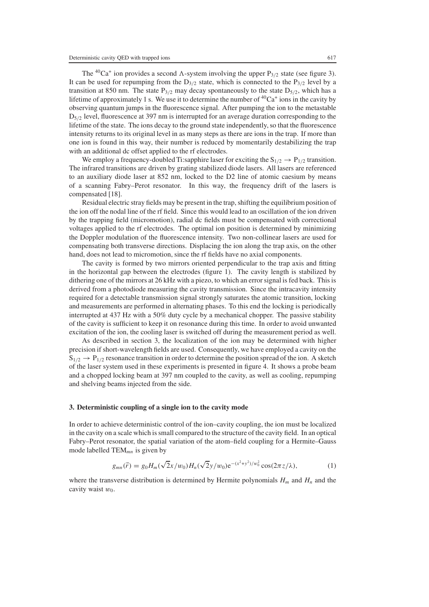The <sup>40</sup>Ca<sup>+</sup> ion provides a second  $\Lambda$ -system involving the upper  $P_{3/2}$  state (see figure 3). It can be used for repumping from the  $D_{3/2}$  state, which is connected to the  $P_{3/2}$  level by a transition at 850 nm. The state  $P_{3/2}$  may decay spontaneously to the state  $D_{5/2}$ , which has a lifetime of approximately 1 s. We use it to determine the number of  ${}^{40}Ca^+$  ions in the cavity by observing quantum jumps in the fluorescence signal. After pumping the ion to the metastable  $D_{5/2}$  level, fluorescence at 397 nm is interrupted for an average duration corresponding to the lifetime of the state. The ions decay to the ground state independently, so that the fluorescence intensity returns to its original level in as many steps as there are ions in the trap. If more than one ion is found in this way, their number is reduced by momentarily destabilizing the trap with an additional dc offset applied to the rf electrodes.

We employ a frequency-doubled Ti:sapphire laser for exciting the  $S_{1/2} \rightarrow P_{1/2}$  transition. The infrared transitions are driven by grating stabilized diode lasers. All lasers are referenced to an auxiliary diode laser at 852 nm, locked to the D2 line of atomic caesium by means of a scanning Fabry–Perot resonator. In this way, the frequency drift of the lasers is compensated [18].

Residual electric stray fields may be present in the trap, shifting the equilibrium position of the ion off the nodal line of the rf field. Since this would lead to an oscillation of the ion driven by the trapping field (micromotion), radial dc fields must be compensated with correctional voltages applied to the rf electrodes. The optimal ion position is determined by minimizing the Doppler modulation of the fluorescence intensity. Two non-collinear lasers are used for compensating both transverse directions. Displacing the ion along the trap axis, on the other hand, does not lead to micromotion, since the rf fields have no axial components.

The cavity is formed by two mirrors oriented perpendicular to the trap axis and fitting in the horizontal gap between the electrodes (figure 1). The cavity length is stabilized by dithering one of the mirrors at 26 kHz with a piezo, to which an error signal is fed back. This is derived from a photodiode measuring the cavity transmission. Since the intracavity intensity required for a detectable transmission signal strongly saturates the atomic transition, locking and measurements are performed in alternating phases. To this end the locking is periodically interrupted at 437 Hz with a 50% duty cycle by a mechanical chopper. The passive stability of the cavity is sufficient to keep it on resonance during this time. In order to avoid unwanted excitation of the ion, the cooling laser is switched off during the measurement period as well.

As described in section 3, the localization of the ion may be determined with higher precision if short-wavelength fields are used. Consequently, we have employed a cavity on the  $S_{1/2} \rightarrow P_{1/2}$  resonance transition in order to determine the position spread of the ion. A sketch of the laser system used in these experiments is presented in figure 4. It shows a probe beam and a chopped locking beam at 397 nm coupled to the cavity, as well as cooling, repumping and shelving beams injected from the side.

#### **3. Deterministic coupling of a single ion to the cavity mode**

In order to achieve deterministic control of the ion–cavity coupling, the ion must be localized in the cavity on a scale which is small compared to the structure of the cavity field. In an optical Fabry–Perot resonator, the spatial variation of the atom–field coupling for a Hermite–Gauss mode labelled TEM*mn* is given by

$$
g_{mn}(\vec{r}) = g_0 H_m(\sqrt{2}x/w_0) H_n(\sqrt{2}y/w_0) e^{-(x^2+y^2)/w_0^2} \cos(2\pi z/\lambda), \tag{1}
$$

where the transverse distribution is determined by Hermite polynomials  $H_m$  and  $H_n$  and the cavity waist  $w_0$ .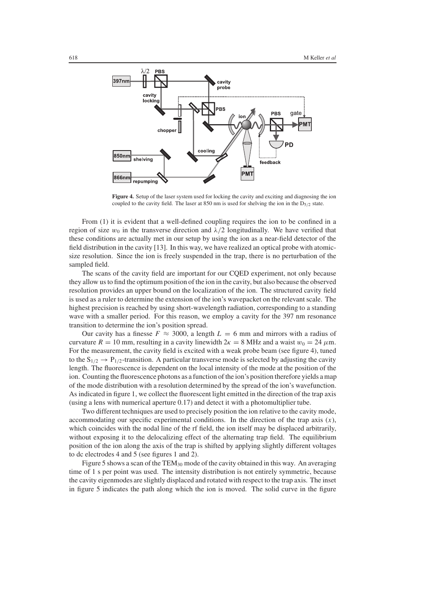

**Figure 4.** Setup of the laser system used for locking the cavity and exciting and diagnosing the ion coupled to the cavity field. The laser at 850 nm is used for shelving the ion in the  $D_{5/2}$  state.

From (1) it is evident that a well-defined coupling requires the ion to be confined in a region of size  $w_0$  in the transverse direction and  $\lambda/2$  longitudinally. We have verified that these conditions are actually met in our setup by using the ion as a near-field detector of the field distribution in the cavity [13]. In this way, we have realized an optical probe with atomicsize resolution. Since the ion is freely suspended in the trap, there is no perturbation of the sampled field.

The scans of the cavity field are important for our CQED experiment, not only because they allow us to find the optimum position of the ion in the cavity, but also because the observed resolution provides an upper bound on the localization of the ion. The structured cavity field is used as a ruler to determine the extension of the ion's wavepacket on the relevant scale. The highest precision is reached by using short-wavelength radiation, corresponding to a standing wave with a smaller period. For this reason, we employ a cavity for the 397 nm resonance transition to determine the ion's position spread.

Our cavity has a finesse  $F \approx 3000$ , a length  $L = 6$  mm and mirrors with a radius of curvature  $R = 10$  mm, resulting in a cavity linewidth  $2\kappa = 8$  MHz and a waist  $w_0 = 24 \mu$ m. For the measurement, the cavity field is excited with a weak probe beam (see figure 4), tuned to the  $S_{1/2} \rightarrow P_{1/2}$ -transition. A particular transverse mode is selected by adjusting the cavity length. The fluorescence is dependent on the local intensity of the mode at the position of the ion. Counting the fluorescence photons as a function of the ion's position therefore yields a map of the mode distribution with a resolution determined by the spread of the ion's wavefunction. As indicated in figure 1, we collect the fluorescent light emitted in the direction of the trap axis (using a lens with numerical aperture 0.17) and detect it with a photomultiplier tube.

Two different techniques are used to precisely position the ion relative to the cavity mode, accommodating our specific experimental conditions. In the direction of the trap axis (*x*), which coincides with the nodal line of the rf field, the ion itself may be displaced arbitrarily, without exposing it to the delocalizing effect of the alternating trap field. The equilibrium position of the ion along the axis of the trap is shifted by applying slightly different voltages to dc electrodes 4 and 5 (see figures 1 and 2).

Figure 5 shows a scan of the TEM<sub>30</sub> mode of the cavity obtained in this way. An averaging time of 1 s per point was used. The intensity distribution is not entirely symmetric, because the cavity eigenmodes are slightly displaced and rotated with respect to the trap axis. The inset in figure 5 indicates the path along which the ion is moved. The solid curve in the figure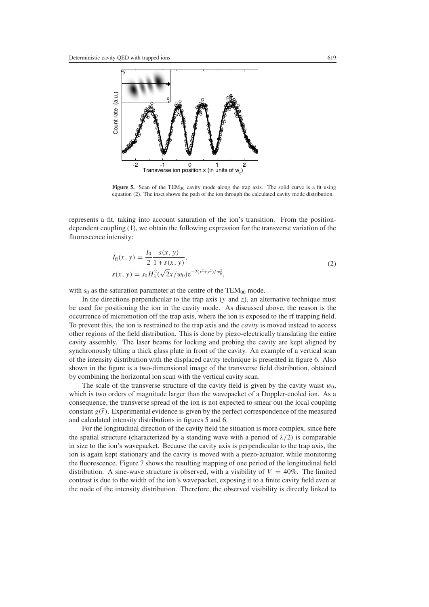

**Figure 5.** Scan of the TEM<sub>30</sub> cavity mode along the trap axis. The solid curve is a fit using equation (2). The inset shows the path of the ion through the calculated cavity mode distribution.

represents a fit, taking into account saturation of the ion's transition. From the positiondependent coupling (1), we obtain the following expression for the transverse variation of the fluorescence intensity:

$$
I_{\text{fl}}(x, y) = \frac{I_0}{2} \frac{s(x, y)}{1 + s(x, y)},
$$
  
\n
$$
s(x, y) = s_0 H_3^2(\sqrt{2}x/w_0) e^{-2(x^2 + y^2)/w_0^2},
$$
\n(2)

with  $s_0$  as the saturation parameter at the centre of the TEM<sub>00</sub> mode.

In the directions perpendicular to the trap axis ( $y$  and  $z$ ), an alternative technique must be used for positioning the ion in the cavity mode. As discussed above, the reason is the occurrence of micromotion off the trap axis, where the ion is exposed to the rf trapping field. To prevent this, the ion is restrained to the trap axis and the *cavity* is moved instead to access other regions of the field distribution. This is done by piezo-electrically translating the entire cavity assembly. The laser beams for locking and probing the cavity are kept aligned by synchronously tilting a thick glass plate in front of the cavity. An example of a vertical scan of the intensity distribution with the displaced cavity technique is presented in figure 6. Also shown in the figure is a two-dimensional image of the transverse field distribution, obtained by combining the horizontal ion scan with the vertical cavity scan.

The scale of the transverse structure of the cavity field is given by the cavity waist  $w_0$ , which is two orders of magnitude larger than the wavepacket of a Doppler-cooled ion. As a consequence, the transverse spread of the ion is not expected to smear out the local coupling constant  $g(\vec{r})$ . Experimental evidence is given by the perfect correspondence of the measured and calculated intensity distributions in figures 5 and 6.

For the longitudinal direction of the cavity field the situation is more complex, since here the spatial structure (characterized by a standing wave with a period of  $\lambda/2$ ) is comparable in size to the ion's wavepacket. Because the cavity axis is perpendicular to the trap axis, the ion is again kept stationary and the cavity is moved with a piezo-actuator, while monitoring the fluorescence. Figure 7 shows the resulting mapping of one period of the longitudinal field distribution. A sine-wave structure is observed, with a visibility of  $V = 40\%$ . The limited contrast is due to the width of the ion's wavepacket, exposing it to a finite cavity field even at the node of the intensity distribution. Therefore, the observed visibility is directly linked to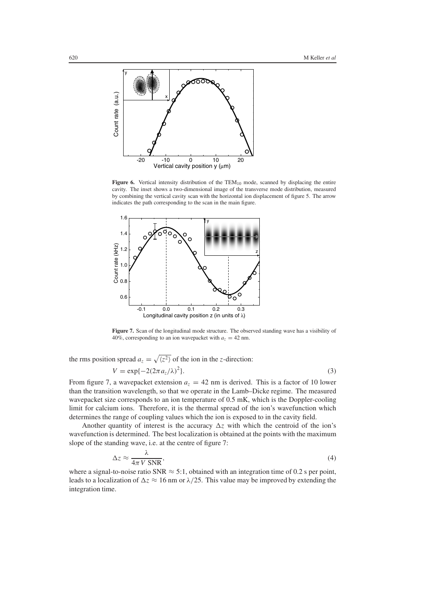

Figure 6. Vertical intensity distribution of the TEM<sub>10</sub> mode, scanned by displacing the entire cavity. The inset shows a two-dimensional image of the transverse mode distribution, measured by combining the vertical cavity scan with the horizontal ion displacement of figure 5. The arrow indicates the path corresponding to the scan in the main figure.



**Figure 7.** Scan of the longitudinal mode structure. The observed standing wave has a visibility of 40%, corresponding to an ion wavepacket with  $a_z = 42$  nm.

the rms position spread  $a_z = \sqrt{\langle z^2 \rangle}$  of the ion in the *z*-direction:  $V = \exp\{-2(2\pi a_z/\lambda)^2\}.$  $\}.$  (3)

From figure 7, a wavepacket extension  $a_z = 42$  nm is derived. This is a factor of 10 lower than the transition wavelength, so that we operate in the Lamb–Dicke regime. The measured wavepacket size corresponds to an ion temperature of 0.5 mK, which is the Doppler-cooling limit for calcium ions. Therefore, it is the thermal spread of the ion's wavefunction which determines the range of coupling values which the ion is exposed to in the cavity field.

Another quantity of interest is the accuracy  $\Delta z$  with which the centroid of the ion's wavefunction is determined. The best localization is obtained at the points with the maximum slope of the standing wave, i.e. at the centre of figure 7:

$$
\Delta z \approx \frac{\lambda}{4\pi V \text{ SNR}},\tag{4}
$$

where a signal-to-noise ratio SNR  $\approx$  5:1, obtained with an integration time of 0.2 s per point, leads to a localization of  $\Delta z \approx 16$  nm or  $\lambda/25$ . This value may be improved by extending the integration time.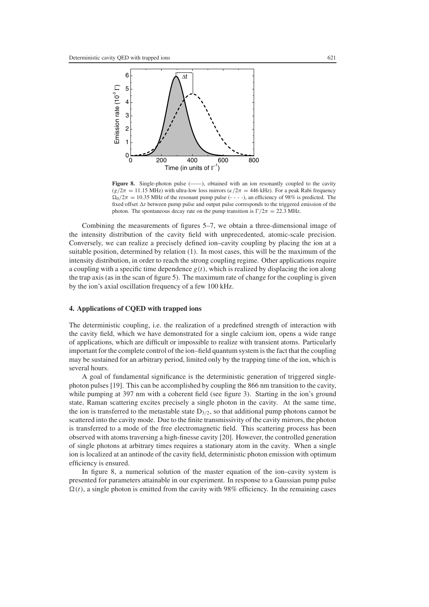

Figure 8. Single-photon pulse (-), obtained with an ion resonantly coupled to the cavity  $(g/2\pi = 11.15$  MHz) with ultra-low loss mirrors ( $\kappa/2\pi = 446$  kHz). For a peak Rabi frequency  $\Omega_0/2\pi = 10.35$  MHz of the resonant pump pulse (- - - -), an efficiency of 98% is predicted. The fixed offset  $\Delta t$  between pump pulse and output pulse corresponds to the triggered emission of the photon. The spontaneous decay rate on the pump transition is  $\Gamma/2\pi = 22.3$  MHz.

Combining the measurements of figures 5–7, we obtain a three-dimensional image of the intensity distribution of the cavity field with unprecedented, atomic-scale precision. Conversely, we can realize a precisely defined ion–cavity coupling by placing the ion at a suitable position, determined by relation (1). In most cases, this will be the maximum of the intensity distribution, in order to reach the strong coupling regime. Other applications require a coupling with a specific time dependence  $g(t)$ , which is realized by displacing the ion along the trap axis (as in the scan of figure 5). The maximum rate of change for the coupling is given by the ion's axial oscillation frequency of a few 100 kHz.

#### **4. Applications of CQED with trapped ions**

The deterministic coupling, i.e. the realization of a predefined strength of interaction with the cavity field, which we have demonstrated for a single calcium ion, opens a wide range of applications, which are difficult or impossible to realize with transient atoms. Particularly important for the complete control of the ion–field quantum system is the fact that the coupling may be sustained for an arbitrary period, limited only by the trapping time of the ion, which is several hours.

A goal of fundamental significance is the deterministic generation of triggered singlephoton pulses [19]. This can be accomplished by coupling the 866 nm transition to the cavity, while pumping at 397 nm with a coherent field (see figure 3). Starting in the ion's ground state, Raman scattering excites precisely a single photon in the cavity. At the same time, the ion is transferred to the metastable state  $D_{3/2}$ , so that additional pump photons cannot be scattered into the cavity mode. Due to the finite transmissivity of the cavity mirrors, the photon is transferred to a mode of the free electromagnetic field. This scattering process has been observed with atoms traversing a high-finesse cavity [20]. However, the controlled generation of single photons at arbitrary times requires a stationary atom in the cavity. When a single ion is localized at an antinode of the cavity field, deterministic photon emission with optimum efficiency is ensured.

In figure 8, a numerical solution of the master equation of the ion–cavity system is presented for parameters attainable in our experiment. In response to a Gaussian pump pulse  $\Omega(t)$ , a single photon is emitted from the cavity with 98% efficiency. In the remaining cases